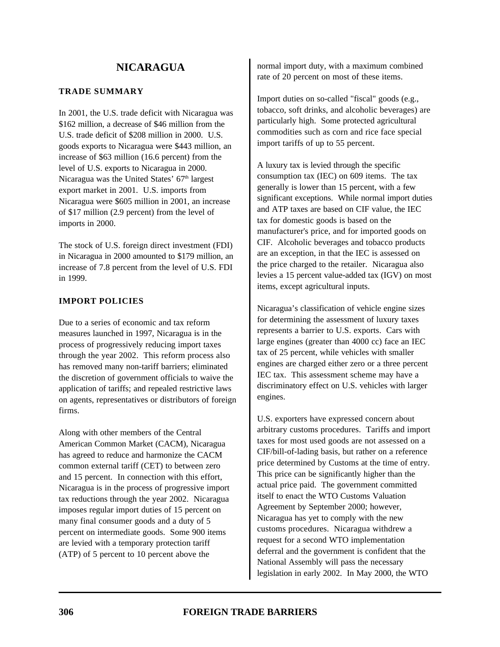### **TRADE SUMMARY**

In 2001, the U.S. trade deficit with Nicaragua was \$162 million, a decrease of \$46 million from the U.S. trade deficit of \$208 million in 2000. U.S. goods exports to Nicaragua were \$443 million, an increase of \$63 million (16.6 percent) from the level of U.S. exports to Nicaragua in 2000. Nicaragua was the United States'  $67<sup>th</sup>$  largest export market in 2001. U.S. imports from Nicaragua were \$605 million in 2001, an increase of \$17 million (2.9 percent) from the level of imports in 2000.

The stock of U.S. foreign direct investment (FDI) in Nicaragua in 2000 amounted to \$179 million, an increase of 7.8 percent from the level of U.S. FDI in 1999.

# **IMPORT POLICIES**

Due to a series of economic and tax reform measures launched in 1997, Nicaragua is in the process of progressively reducing import taxes through the year 2002. This reform process also has removed many non-tariff barriers; eliminated the discretion of government officials to waive the application of tariffs; and repealed restrictive laws on agents, representatives or distributors of foreign firms.

Along with other members of the Central American Common Market (CACM), Nicaragua has agreed to reduce and harmonize the CACM common external tariff (CET) to between zero and 15 percent. In connection with this effort, Nicaragua is in the process of progressive import tax reductions through the year 2002. Nicaragua imposes regular import duties of 15 percent on many final consumer goods and a duty of 5 percent on intermediate goods. Some 900 items are levied with a temporary protection tariff (ATP) of 5 percent to 10 percent above the

normal import duty, with a maximum combined rate of 20 percent on most of these items.

Import duties on so-called "fiscal" goods (e.g., tobacco, soft drinks, and alcoholic beverages) are particularly high. Some protected agricultural commodities such as corn and rice face special import tariffs of up to 55 percent.

A luxury tax is levied through the specific consumption tax (IEC) on 609 items. The tax generally is lower than 15 percent, with a few significant exceptions. While normal import duties and ATP taxes are based on CIF value, the IEC tax for domestic goods is based on the manufacturer's price, and for imported goods on CIF. Alcoholic beverages and tobacco products are an exception, in that the IEC is assessed on the price charged to the retailer. Nicaragua also levies a 15 percent value-added tax (IGV) on most items, except agricultural inputs.

Nicaragua's classification of vehicle engine sizes for determining the assessment of luxury taxes represents a barrier to U.S. exports. Cars with large engines (greater than 4000 cc) face an IEC tax of 25 percent, while vehicles with smaller engines are charged either zero or a three percent IEC tax. This assessment scheme may have a discriminatory effect on U.S. vehicles with larger engines.

U.S. exporters have expressed concern about arbitrary customs procedures. Tariffs and import taxes for most used goods are not assessed on a CIF/bill-of-lading basis, but rather on a reference price determined by Customs at the time of entry. This price can be significantly higher than the actual price paid. The government committed itself to enact the WTO Customs Valuation Agreement by September 2000; however, Nicaragua has yet to comply with the new customs procedures. Nicaragua withdrew a request for a second WTO implementation deferral and the government is confident that the National Assembly will pass the necessary legislation in early 2002. In May 2000, the WTO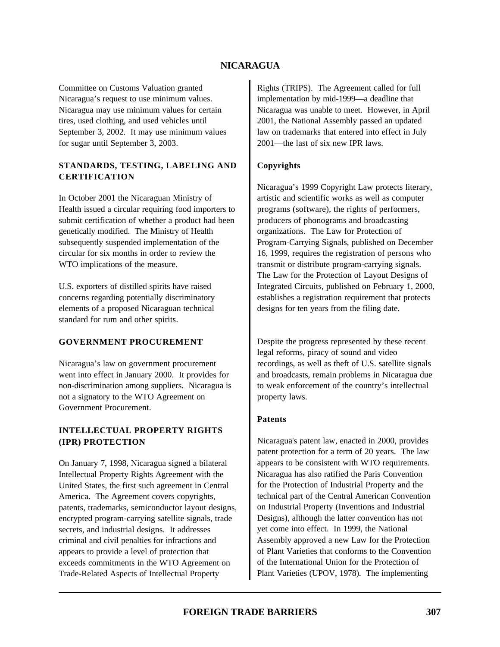Committee on Customs Valuation granted Nicaragua's request to use minimum values. Nicaragua may use minimum values for certain tires, used clothing, and used vehicles until September 3, 2002. It may use minimum values for sugar until September 3, 2003.

### **STANDARDS, TESTING, LABELING AND CERTIFICATION**

In October 2001 the Nicaraguan Ministry of Health issued a circular requiring food importers to submit certification of whether a product had been genetically modified. The Ministry of Health subsequently suspended implementation of the circular for six months in order to review the WTO implications of the measure.

U.S. exporters of distilled spirits have raised concerns regarding potentially discriminatory elements of a proposed Nicaraguan technical standard for rum and other spirits.

### **GOVERNMENT PROCUREMENT**

Nicaragua's law on government procurement went into effect in January 2000. It provides for non-discrimination among suppliers. Nicaragua is not a signatory to the WTO Agreement on Government Procurement.

# **INTELLECTUAL PROPERTY RIGHTS (IPR) PROTECTION**

On January 7, 1998, Nicaragua signed a bilateral Intellectual Property Rights Agreement with the United States, the first such agreement in Central America. The Agreement covers copyrights, patents, trademarks, semiconductor layout designs, encrypted program-carrying satellite signals, trade secrets, and industrial designs. It addresses criminal and civil penalties for infractions and appears to provide a level of protection that exceeds commitments in the WTO Agreement on Trade-Related Aspects of Intellectual Property

Rights (TRIPS). The Agreement called for full implementation by mid-1999—a deadline that Nicaragua was unable to meet. However, in April 2001, the National Assembly passed an updated law on trademarks that entered into effect in July 2001—the last of six new IPR laws.

# **Copyrights**

Nicaragua's 1999 Copyright Law protects literary, artistic and scientific works as well as computer programs (software), the rights of performers, producers of phonograms and broadcasting organizations. The Law for Protection of Program-Carrying Signals, published on December 16, 1999, requires the registration of persons who transmit or distribute program-carrying signals. The Law for the Protection of Layout Designs of Integrated Circuits, published on February 1, 2000, establishes a registration requirement that protects designs for ten years from the filing date.

Despite the progress represented by these recent legal reforms, piracy of sound and video recordings, as well as theft of U.S. satellite signals and broadcasts, remain problems in Nicaragua due to weak enforcement of the country's intellectual property laws.

### **Patents**

Nicaragua's patent law, enacted in 2000, provides patent protection for a term of 20 years. The law appears to be consistent with WTO requirements. Nicaragua has also ratified the Paris Convention for the Protection of Industrial Property and the technical part of the Central American Convention on Industrial Property (Inventions and Industrial Designs), although the latter convention has not yet come into effect. In 1999, the National Assembly approved a new Law for the Protection of Plant Varieties that conforms to the Convention of the International Union for the Protection of Plant Varieties (UPOV, 1978). The implementing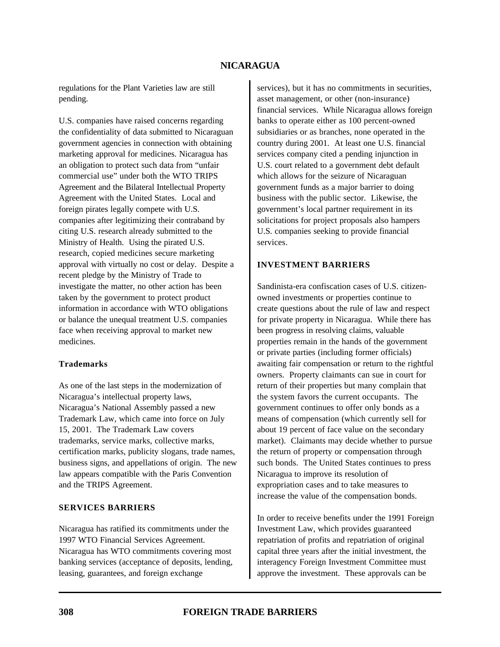regulations for the Plant Varieties law are still pending.

U.S. companies have raised concerns regarding the confidentiality of data submitted to Nicaraguan government agencies in connection with obtaining marketing approval for medicines. Nicaragua has an obligation to protect such data from "unfair commercial use" under both the WTO TRIPS Agreement and the Bilateral Intellectual Property Agreement with the United States. Local and foreign pirates legally compete with U.S. companies after legitimizing their contraband by citing U.S. research already submitted to the Ministry of Health. Using the pirated U.S. research, copied medicines secure marketing approval with virtually no cost or delay. Despite a recent pledge by the Ministry of Trade to investigate the matter, no other action has been taken by the government to protect product information in accordance with WTO obligations or balance the unequal treatment U.S. companies face when receiving approval to market new medicines.

#### **Trademarks**

As one of the last steps in the modernization of Nicaragua's intellectual property laws, Nicaragua's National Assembly passed a new Trademark Law, which came into force on July 15, 2001. The Trademark Law covers trademarks, service marks, collective marks, certification marks, publicity slogans, trade names, business signs, and appellations of origin. The new law appears compatible with the Paris Convention and the TRIPS Agreement.

### **SERVICES BARRIERS**

Nicaragua has ratified its commitments under the 1997 WTO Financial Services Agreement. Nicaragua has WTO commitments covering most banking services (acceptance of deposits, lending, leasing, guarantees, and foreign exchange

services), but it has no commitments in securities, asset management, or other (non-insurance) financial services. While Nicaragua allows foreign banks to operate either as 100 percent-owned subsidiaries or as branches, none operated in the country during 2001. At least one U.S. financial services company cited a pending injunction in U.S. court related to a government debt default which allows for the seizure of Nicaraguan government funds as a major barrier to doing business with the public sector. Likewise, the government's local partner requirement in its solicitations for project proposals also hampers U.S. companies seeking to provide financial services.

#### **INVESTMENT BARRIERS**

Sandinista-era confiscation cases of U.S. citizenowned investments or properties continue to create questions about the rule of law and respect for private property in Nicaragua. While there has been progress in resolving claims, valuable properties remain in the hands of the government or private parties (including former officials) awaiting fair compensation or return to the rightful owners. Property claimants can sue in court for return of their properties but many complain that the system favors the current occupants. The government continues to offer only bonds as a means of compensation (which currently sell for about 19 percent of face value on the secondary market). Claimants may decide whether to pursue the return of property or compensation through such bonds. The United States continues to press Nicaragua to improve its resolution of expropriation cases and to take measures to increase the value of the compensation bonds.

In order to receive benefits under the 1991 Foreign Investment Law, which provides guaranteed repatriation of profits and repatriation of original capital three years after the initial investment, the interagency Foreign Investment Committee must approve the investment. These approvals can be